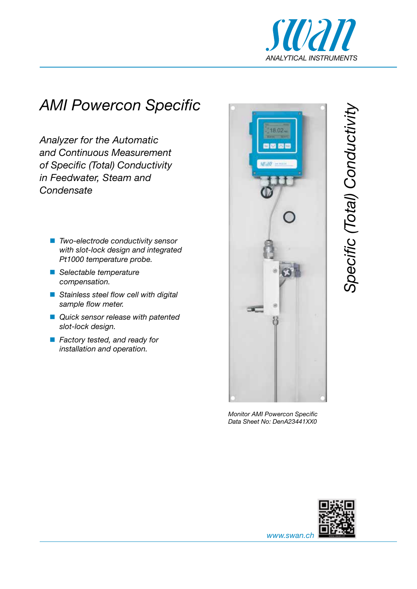

## *AMI Powercon Specific*

*Analyzer for the Automatic and Continuous Measurement of Specific (Total) Conductivity in Feedwater, Steam and Condensate*

- *Two-electrode conductivity sensor with slot-lock design and integrated Pt1000 temperature probe.*
- *Selectable temperature compensation.*
- *Stainless steel flow cell with digital sample flow meter.*
- *Quick sensor release with patented slot-lock design.*
- *Factory tested, and ready for installation and operation.*



*Monitor AMI Powercon Specific Data Sheet No: DenA23441XX0*





*www.swan.ch*